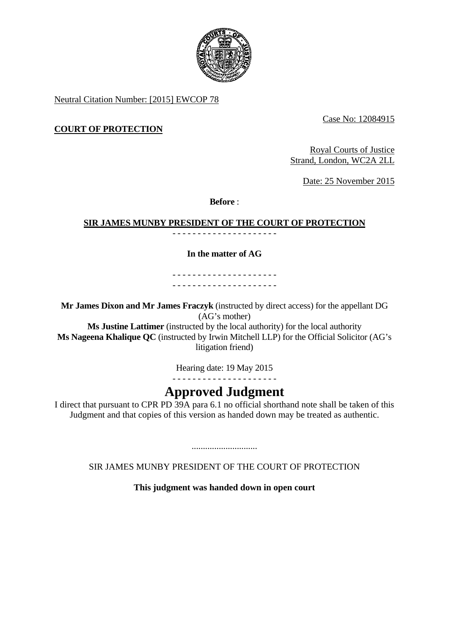

Neutral Citation Number: [2015] EWCOP 78

Case No: 12084915

# **COURT OF PROTECTION**

Royal Courts of Justice Strand, London, WC2A 2LL

Date: 25 November 2015

**Before** :

# **SIR JAMES MUNBY PRESIDENT OF THE COURT OF PROTECTION**

- - - - - - - - - - - - - - - - - - - - -

# **In the matter of AG**

- - - - - - - - - - - - - - - - - - - - - - - - - - - - - - - - - - - - - - - - - -

**Mr James Dixon and Mr James Fraczyk** (instructed by direct access) for the appellant DG (AG's mother)

**Ms Justine Lattimer** (instructed by the local authority) for the local authority **Ms Nageena Khalique QC** (instructed by Irwin Mitchell LLP) for the Official Solicitor (AG's litigation friend)

Hearing date: 19 May 2015

- - - - - - - - - - - - - - - - - - - - -

# **Approved Judgment**

I direct that pursuant to CPR PD 39A para 6.1 no official shorthand note shall be taken of this Judgment and that copies of this version as handed down may be treated as authentic.

SIR JAMES MUNBY PRESIDENT OF THE COURT OF PROTECTION

.............................

**This judgment was handed down in open court**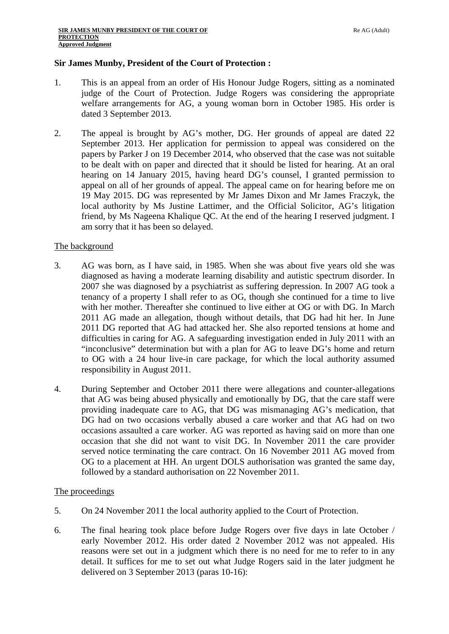## **Sir James Munby, President of the Court of Protection :**

- 1. This is an appeal from an order of His Honour Judge Rogers, sitting as a nominated judge of the Court of Protection. Judge Rogers was considering the appropriate welfare arrangements for AG, a young woman born in October 1985. His order is dated 3 September 2013.
- 2. The appeal is brought by AG's mother, DG. Her grounds of appeal are dated 22 September 2013. Her application for permission to appeal was considered on the papers by Parker J on 19 December 2014, who observed that the case was not suitable to be dealt with on paper and directed that it should be listed for hearing. At an oral hearing on 14 January 2015, having heard DG's counsel, I granted permission to appeal on all of her grounds of appeal. The appeal came on for hearing before me on 19 May 2015. DG was represented by Mr James Dixon and Mr James Fraczyk, the local authority by Ms Justine Lattimer, and the Official Solicitor, AG's litigation friend, by Ms Nageena Khalique QC. At the end of the hearing I reserved judgment. I am sorry that it has been so delayed.

## The background

- 3. AG was born, as I have said, in 1985. When she was about five years old she was diagnosed as having a moderate learning disability and autistic spectrum disorder. In 2007 she was diagnosed by a psychiatrist as suffering depression. In 2007 AG took a tenancy of a property I shall refer to as OG, though she continued for a time to live with her mother. Thereafter she continued to live either at OG or with DG. In March 2011 AG made an allegation, though without details, that DG had hit her. In June 2011 DG reported that AG had attacked her. She also reported tensions at home and difficulties in caring for AG. A safeguarding investigation ended in July 2011 with an "inconclusive" determination but with a plan for AG to leave DG's home and return to OG with a 24 hour live-in care package, for which the local authority assumed responsibility in August 2011.
- 4. During September and October 2011 there were allegations and counter-allegations that AG was being abused physically and emotionally by DG, that the care staff were providing inadequate care to AG, that DG was mismanaging AG's medication, that DG had on two occasions verbally abused a care worker and that AG had on two occasions assaulted a care worker. AG was reported as having said on more than one occasion that she did not want to visit DG. In November 2011 the care provider served notice terminating the care contract. On 16 November 2011 AG moved from OG to a placement at HH. An urgent DOLS authorisation was granted the same day, followed by a standard authorisation on 22 November 2011.

#### The proceedings

- 5. On 24 November 2011 the local authority applied to the Court of Protection.
- 6. The final hearing took place before Judge Rogers over five days in late October / early November 2012. His order dated 2 November 2012 was not appealed. His reasons were set out in a judgment which there is no need for me to refer to in any detail. It suffices for me to set out what Judge Rogers said in the later judgment he delivered on 3 September 2013 (paras 10-16):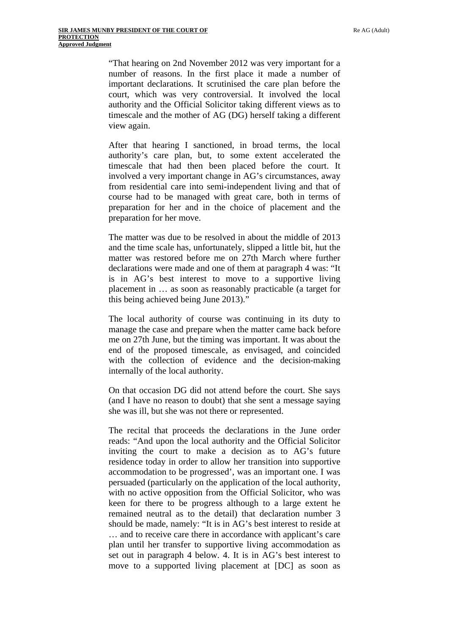"That hearing on 2nd November 2012 was very important for a number of reasons. In the first place it made a number of important declarations. It scrutinised the care plan before the court, which was very controversial. It involved the local authority and the Official Solicitor taking different views as to timescale and the mother of AG (DG) herself taking a different view again.

After that hearing I sanctioned, in broad terms, the local authority's care plan, but, to some extent accelerated the timescale that had then been placed before the court. It involved a very important change in AG's circumstances, away from residential care into semi-independent living and that of course had to be managed with great care, both in terms of preparation for her and in the choice of placement and the preparation for her move.

The matter was due to be resolved in about the middle of 2013 and the time scale has, unfortunately, slipped a little bit, hut the matter was restored before me on 27th March where further declarations were made and one of them at paragraph 4 was: "It is in AG's best interest to move to a supportive living placement in … as soon as reasonably practicable (a target for this being achieved being June 2013)."

The local authority of course was continuing in its duty to manage the case and prepare when the matter came back before me on 27th June, but the timing was important. It was about the end of the proposed timescale, as envisaged, and coincided with the collection of evidence and the decision-making internally of the local authority.

On that occasion DG did not attend before the court. She says (and I have no reason to doubt) that she sent a message saying she was ill, but she was not there or represented.

The recital that proceeds the declarations in the June order reads: "And upon the local authority and the Official Solicitor inviting the court to make a decision as to AG's future residence today in order to allow her transition into supportive accommodation to be progressed', was an important one. I was persuaded (particularly on the application of the local authority, with no active opposition from the Official Solicitor, who was keen for there to be progress although to a large extent he remained neutral as to the detail) that declaration number 3 should be made, namely: "It is in AG's best interest to reside at … and to receive care there in accordance with applicant's care plan until her transfer to supportive living accommodation as set out in paragraph 4 below. 4. It is in AG's best interest to move to a supported living placement at [DC] as soon as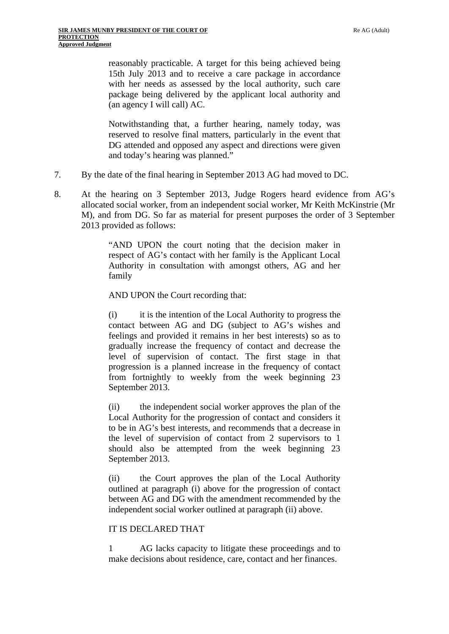reasonably practicable. A target for this being achieved being 15th July 2013 and to receive a care package in accordance with her needs as assessed by the local authority, such care package being delivered by the applicant local authority and (an agency I will call) AC.

Notwithstanding that, a further hearing, namely today, was reserved to resolve final matters, particularly in the event that DG attended and opposed any aspect and directions were given and today's hearing was planned."

- 7. By the date of the final hearing in September 2013 AG had moved to DC.
- 8. At the hearing on 3 September 2013, Judge Rogers heard evidence from AG's allocated social worker, from an independent social worker, Mr Keith McKinstrie (Mr M), and from DG. So far as material for present purposes the order of 3 September 2013 provided as follows:

"AND UPON the court noting that the decision maker in respect of AG's contact with her family is the Applicant Local Authority in consultation with amongst others, AG and her family

AND UPON the Court recording that:

(i) it is the intention of the Local Authority to progress the contact between AG and DG (subject to AG's wishes and feelings and provided it remains in her best interests) so as to gradually increase the frequency of contact and decrease the level of supervision of contact. The first stage in that progression is a planned increase in the frequency of contact from fortnightly to weekly from the week beginning 23 September 2013.

(ii) the independent social worker approves the plan of the Local Authority for the progression of contact and considers it to be in AG's best interests, and recommends that a decrease in the level of supervision of contact from 2 supervisors to 1 should also be attempted from the week beginning 23 September 2013.

(ii) the Court approves the plan of the Local Authority outlined at paragraph (i) above for the progression of contact between AG and DG with the amendment recommended by the independent social worker outlined at paragraph (ii) above.

#### IT IS DECLARED THAT

1 AG lacks capacity to litigate these proceedings and to make decisions about residence, care, contact and her finances.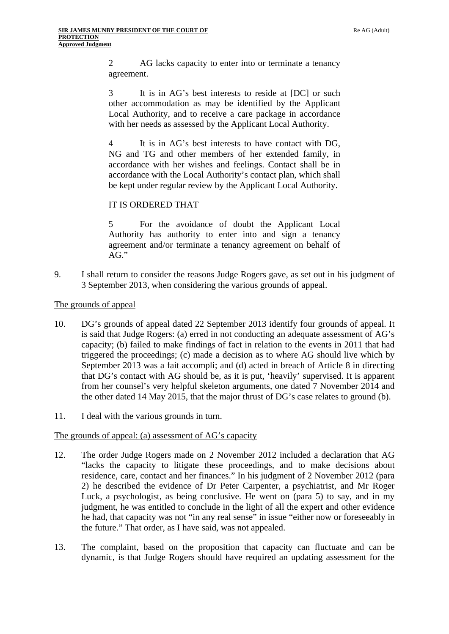2 AG lacks capacity to enter into or terminate a tenancy agreement.

3 It is in AG's best interests to reside at [DC] or such other accommodation as may be identified by the Applicant Local Authority, and to receive a care package in accordance with her needs as assessed by the Applicant Local Authority.

4 It is in AG's best interests to have contact with DG, NG and TG and other members of her extended family, in accordance with her wishes and feelings. Contact shall be in accordance with the Local Authority's contact plan, which shall be kept under regular review by the Applicant Local Authority.

# IT IS ORDERED THAT

5 For the avoidance of doubt the Applicant Local Authority has authority to enter into and sign a tenancy agreement and/or terminate a tenancy agreement on behalf of AG."

9. I shall return to consider the reasons Judge Rogers gave, as set out in his judgment of 3 September 2013, when considering the various grounds of appeal.

## The grounds of appeal

- 10. DG's grounds of appeal dated 22 September 2013 identify four grounds of appeal. It is said that Judge Rogers: (a) erred in not conducting an adequate assessment of AG's capacity; (b) failed to make findings of fact in relation to the events in 2011 that had triggered the proceedings; (c) made a decision as to where AG should live which by September 2013 was a fait accompli; and (d) acted in breach of Article 8 in directing that DG's contact with AG should be, as it is put, 'heavily' supervised. It is apparent from her counsel's very helpful skeleton arguments, one dated 7 November 2014 and the other dated 14 May 2015, that the major thrust of DG's case relates to ground (b).
- 11. I deal with the various grounds in turn.

## The grounds of appeal: (a) assessment of AG's capacity

- 12. The order Judge Rogers made on 2 November 2012 included a declaration that AG "lacks the capacity to litigate these proceedings, and to make decisions about residence, care, contact and her finances." In his judgment of 2 November 2012 (para 2) he described the evidence of Dr Peter Carpenter, a psychiatrist, and Mr Roger Luck, a psychologist, as being conclusive. He went on (para 5) to say, and in my judgment, he was entitled to conclude in the light of all the expert and other evidence he had, that capacity was not "in any real sense" in issue "either now or foreseeably in the future." That order, as I have said, was not appealed.
- 13. The complaint, based on the proposition that capacity can fluctuate and can be dynamic, is that Judge Rogers should have required an updating assessment for the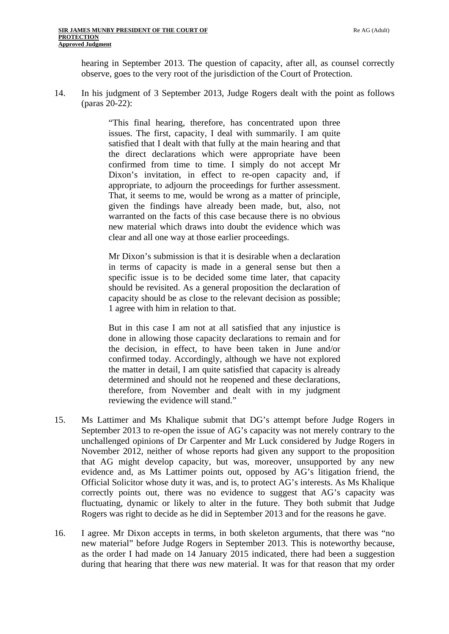hearing in September 2013. The question of capacity, after all, as counsel correctly observe, goes to the very root of the jurisdiction of the Court of Protection.

14. In his judgment of 3 September 2013, Judge Rogers dealt with the point as follows (paras 20-22):

> "This final hearing, therefore, has concentrated upon three issues. The first, capacity, I deal with summarily. I am quite satisfied that I dealt with that fully at the main hearing and that the direct declarations which were appropriate have been confirmed from time to time. I simply do not accept Mr Dixon's invitation, in effect to re-open capacity and, if appropriate, to adjourn the proceedings for further assessment. That, it seems to me, would be wrong as a matter of principle, given the findings have already been made, but, also, not warranted on the facts of this case because there is no obvious new material which draws into doubt the evidence which was clear and all one way at those earlier proceedings.

> Mr Dixon's submission is that it is desirable when a declaration in terms of capacity is made in a general sense but then a specific issue is to be decided some time later, that capacity should be revisited. As a general proposition the declaration of capacity should be as close to the relevant decision as possible; 1 agree with him in relation to that.

> But in this case I am not at all satisfied that any injustice is done in allowing those capacity declarations to remain and for the decision, in effect, to have been taken in June and/or confirmed today. Accordingly, although we have not explored the matter in detail, I am quite satisfied that capacity is already determined and should not he reopened and these declarations, therefore, from November and dealt with in my judgment reviewing the evidence will stand."

- 15. Ms Lattimer and Ms Khalique submit that DG's attempt before Judge Rogers in September 2013 to re-open the issue of AG's capacity was not merely contrary to the unchallenged opinions of Dr Carpenter and Mr Luck considered by Judge Rogers in November 2012, neither of whose reports had given any support to the proposition that AG might develop capacity, but was, moreover, unsupported by any new evidence and, as Ms Lattimer points out, opposed by AG's litigation friend, the Official Solicitor whose duty it was, and is, to protect AG's interests. As Ms Khalique correctly points out, there was no evidence to suggest that AG's capacity was fluctuating, dynamic or likely to alter in the future. They both submit that Judge Rogers was right to decide as he did in September 2013 and for the reasons he gave.
- 16. I agree. Mr Dixon accepts in terms, in both skeleton arguments, that there was "no new material" before Judge Rogers in September 2013. This is noteworthy because, as the order I had made on 14 January 2015 indicated, there had been a suggestion during that hearing that there *was* new material. It was for that reason that my order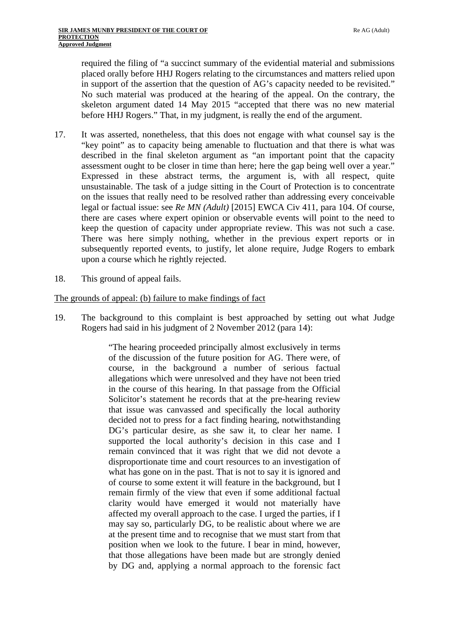required the filing of "a succinct summary of the evidential material and submissions placed orally before HHJ Rogers relating to the circumstances and matters relied upon in support of the assertion that the question of AG's capacity needed to be revisited." No such material was produced at the hearing of the appeal. On the contrary, the skeleton argument dated 14 May 2015 "accepted that there was no new material before HHJ Rogers." That, in my judgment, is really the end of the argument.

- 17. It was asserted, nonetheless, that this does not engage with what counsel say is the "key point" as to capacity being amenable to fluctuation and that there is what was described in the final skeleton argument as "an important point that the capacity assessment ought to be closer in time than here; here the gap being well over a year." Expressed in these abstract terms, the argument is, with all respect, quite unsustainable. The task of a judge sitting in the Court of Protection is to concentrate on the issues that really need to be resolved rather than addressing every conceivable legal or factual issue: see *Re MN (Adult)* [2015] EWCA Civ 411, para 104. Of course, there are cases where expert opinion or observable events will point to the need to keep the question of capacity under appropriate review. This was not such a case. There was here simply nothing, whether in the previous expert reports or in subsequently reported events, to justify, let alone require, Judge Rogers to embark upon a course which he rightly rejected.
- 18. This ground of appeal fails.

## The grounds of appeal: (b) failure to make findings of fact

19. The background to this complaint is best approached by setting out what Judge Rogers had said in his judgment of 2 November 2012 (para 14):

> "The hearing proceeded principally almost exclusively in terms of the discussion of the future position for AG. There were, of course, in the background a number of serious factual allegations which were unresolved and they have not been tried in the course of this hearing. In that passage from the Official Solicitor's statement he records that at the pre-hearing review that issue was canvassed and specifically the local authority decided not to press for a fact finding hearing, notwithstanding DG's particular desire, as she saw it, to clear her name. I supported the local authority's decision in this case and I remain convinced that it was right that we did not devote a disproportionate time and court resources to an investigation of what has gone on in the past. That is not to say it is ignored and of course to some extent it will feature in the background, but I remain firmly of the view that even if some additional factual clarity would have emerged it would not materially have affected my overall approach to the case. I urged the parties, if I may say so, particularly DG, to be realistic about where we are at the present time and to recognise that we must start from that position when we look to the future. I bear in mind, however, that those allegations have been made but are strongly denied by DG and, applying a normal approach to the forensic fact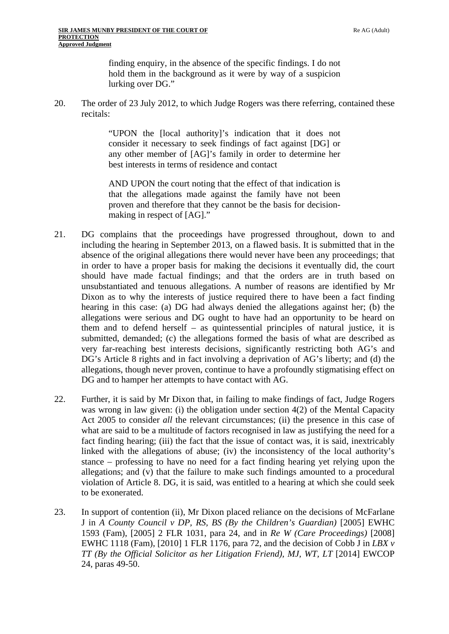finding enquiry, in the absence of the specific findings. I do not hold them in the background as it were by way of a suspicion lurking over DG."

20. The order of 23 July 2012, to which Judge Rogers was there referring, contained these recitals:

> "UPON the [local authority]'s indication that it does not consider it necessary to seek findings of fact against [DG] or any other member of [AG]'s family in order to determine her best interests in terms of residence and contact

> AND UPON the court noting that the effect of that indication is that the allegations made against the family have not been proven and therefore that they cannot be the basis for decisionmaking in respect of [AG]."

- 21. DG complains that the proceedings have progressed throughout, down to and including the hearing in September 2013, on a flawed basis. It is submitted that in the absence of the original allegations there would never have been any proceedings; that in order to have a proper basis for making the decisions it eventually did, the court should have made factual findings; and that the orders are in truth based on unsubstantiated and tenuous allegations. A number of reasons are identified by Mr Dixon as to why the interests of justice required there to have been a fact finding hearing in this case: (a) DG had always denied the allegations against her; (b) the allegations were serious and DG ought to have had an opportunity to be heard on them and to defend herself – as quintessential principles of natural justice, it is submitted, demanded; (c) the allegations formed the basis of what are described as very far-reaching best interests decisions, significantly restricting both AG's and DG's Article 8 rights and in fact involving a deprivation of AG's liberty; and (d) the allegations, though never proven, continue to have a profoundly stigmatising effect on DG and to hamper her attempts to have contact with AG.
- 22. Further, it is said by Mr Dixon that, in failing to make findings of fact, Judge Rogers was wrong in law given: (i) the obligation under section 4(2) of the Mental Capacity Act 2005 to consider *all* the relevant circumstances; (ii) the presence in this case of what are said to be a multitude of factors recognised in law as justifying the need for a fact finding hearing; (iii) the fact that the issue of contact was, it is said, inextricably linked with the allegations of abuse; (iv) the inconsistency of the local authority's stance – professing to have no need for a fact finding hearing yet relying upon the allegations; and (v) that the failure to make such findings amounted to a procedural violation of Article 8. DG, it is said, was entitled to a hearing at which she could seek to be exonerated.
- 23. In support of contention (ii), Mr Dixon placed reliance on the decisions of McFarlane J in *A County Council v DP, RS, BS (By the Children's Guardian)* [2005] EWHC 1593 (Fam), [2005] 2 FLR 1031, para 24, and in *Re W (Care Proceedings)* [2008] EWHC 1118 (Fam), [2010] 1 FLR 1176, para 72, and the decision of Cobb J in *LBX v TT* (By the Official Solicitor as her Litigation Friend), MJ, WT, LT [2014] EWCOP 24, paras 49-50.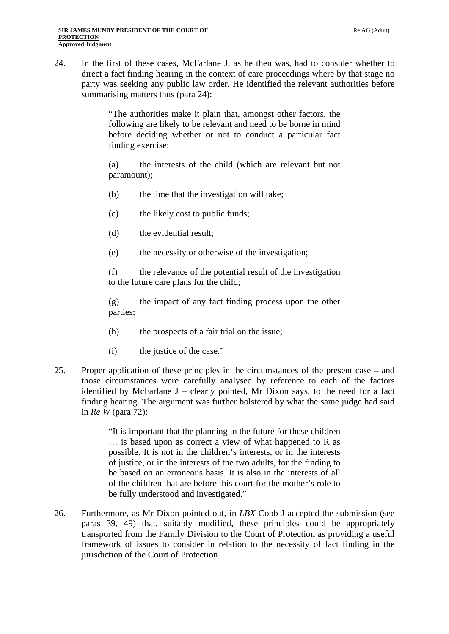24. In the first of these cases, McFarlane J, as he then was, had to consider whether to direct a fact finding hearing in the context of care proceedings where by that stage no party was seeking any public law order. He identified the relevant authorities before summarising matters thus (para 24):

> "The authorities make it plain that, amongst other factors, the following are likely to be relevant and need to be borne in mind before deciding whether or not to conduct a particular fact finding exercise:

> (a) the interests of the child (which are relevant but not paramount);

- (b) the time that the investigation will take;
- (c) the likely cost to public funds;
- (d) the evidential result;
- (e) the necessity or otherwise of the investigation;

(f) the relevance of the potential result of the investigation to the future care plans for the child;

(g) the impact of any fact finding process upon the other parties;

- (h) the prospects of a fair trial on the issue;
- (i) the justice of the case."
- 25. Proper application of these principles in the circumstances of the present case and those circumstances were carefully analysed by reference to each of the factors identified by McFarlane  $J$  – clearly pointed, Mr Dixon says, to the need for a fact finding hearing. The argument was further bolstered by what the same judge had said in *Re W* (para 72):

"It is important that the planning in the future for these children … is based upon as correct a view of what happened to R as possible. It is not in the children's interests, or in the interests of justice, or in the interests of the two adults, for the finding to be based on an erroneous basis. It is also in the interests of all of the children that are before this court for the mother's role to be fully understood and investigated."

26. Furthermore, as Mr Dixon pointed out, in *LBX* Cobb J accepted the submission (see paras 39, 49) that, suitably modified, these principles could be appropriately transported from the Family Division to the Court of Protection as providing a useful framework of issues to consider in relation to the necessity of fact finding in the jurisdiction of the Court of Protection.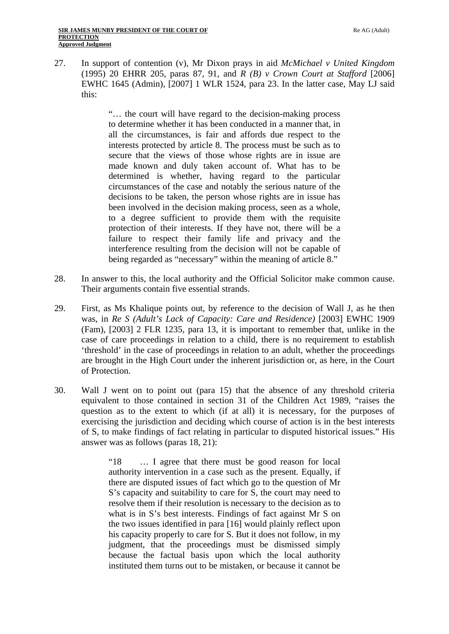27. In support of contention (v), Mr Dixon prays in aid *McMichael v United Kingdom*  (1995) 20 EHRR 205, paras 87, 91, and *R (B) v Crown Court at Stafford* [2006] EWHC 1645 (Admin), [2007] 1 WLR 1524, para 23. In the latter case, May LJ said this:

> "… the court will have regard to the decision-making process to determine whether it has been conducted in a manner that, in all the circumstances, is fair and affords due respect to the interests protected by article 8. The process must be such as to secure that the views of those whose rights are in issue are made known and duly taken account of. What has to be determined is whether, having regard to the particular circumstances of the case and notably the serious nature of the decisions to be taken, the person whose rights are in issue has been involved in the decision making process, seen as a whole, to a degree sufficient to provide them with the requisite protection of their interests. If they have not, there will be a failure to respect their family life and privacy and the interference resulting from the decision will not be capable of being regarded as "necessary" within the meaning of article 8."

- 28. In answer to this, the local authority and the Official Solicitor make common cause. Their arguments contain five essential strands.
- 29. First, as Ms Khalique points out, by reference to the decision of Wall J, as he then was, in *Re S (Adult's Lack of Capacity: Care and Residence)* [2003] EWHC 1909 (Fam), [2003] 2 FLR 1235, para 13, it is important to remember that, unlike in the case of care proceedings in relation to a child, there is no requirement to establish 'threshold' in the case of proceedings in relation to an adult, whether the proceedings are brought in the High Court under the inherent jurisdiction or, as here, in the Court of Protection.
- 30. Wall J went on to point out (para 15) that the absence of any threshold criteria equivalent to those contained in section 31 of the Children Act 1989, "raises the question as to the extent to which (if at all) it is necessary, for the purposes of exercising the jurisdiction and deciding which course of action is in the best interests of S, to make findings of fact relating in particular to disputed historical issues." His answer was as follows (paras 18, 21):

"18 … I agree that there must be good reason for local authority intervention in a case such as the present. Equally, if there are disputed issues of fact which go to the question of Mr S's capacity and suitability to care for S, the court may need to resolve them if their resolution is necessary to the decision as to what is in S's best interests. Findings of fact against Mr S on the two issues identified in para [16] would plainly reflect upon his capacity properly to care for S. But it does not follow, in my judgment, that the proceedings must be dismissed simply because the factual basis upon which the local authority instituted them turns out to be mistaken, or because it cannot be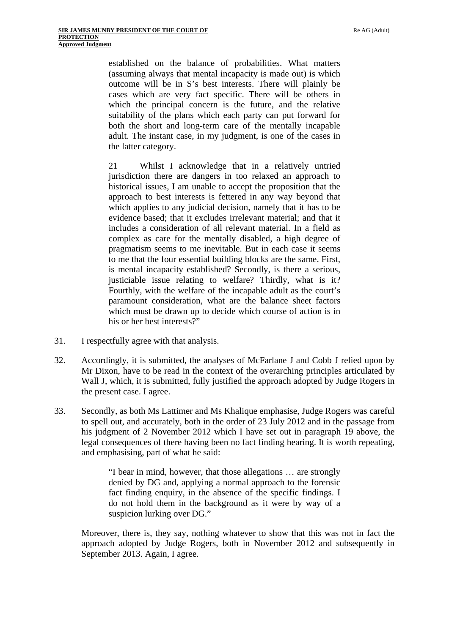established on the balance of probabilities. What matters (assuming always that mental incapacity is made out) is which outcome will be in S's best interests. There will plainly be cases which are very fact specific. There will be others in which the principal concern is the future, and the relative suitability of the plans which each party can put forward for both the short and long-term care of the mentally incapable adult. The instant case, in my judgment, is one of the cases in the latter category.

21 Whilst I acknowledge that in a relatively untried jurisdiction there are dangers in too relaxed an approach to historical issues, I am unable to accept the proposition that the approach to best interests is fettered in any way beyond that which applies to any judicial decision, namely that it has to be evidence based; that it excludes irrelevant material; and that it includes a consideration of all relevant material. In a field as complex as care for the mentally disabled, a high degree of pragmatism seems to me inevitable. But in each case it seems to me that the four essential building blocks are the same. First, is mental incapacity established? Secondly, is there a serious, justiciable issue relating to welfare? Thirdly, what is it? Fourthly, with the welfare of the incapable adult as the court's paramount consideration, what are the balance sheet factors which must be drawn up to decide which course of action is in his or her best interests?"

- 31. I respectfully agree with that analysis.
- 32. Accordingly, it is submitted, the analyses of McFarlane J and Cobb J relied upon by Mr Dixon, have to be read in the context of the overarching principles articulated by Wall J, which, it is submitted, fully justified the approach adopted by Judge Rogers in the present case. I agree.
- 33. Secondly, as both Ms Lattimer and Ms Khalique emphasise, Judge Rogers was careful to spell out, and accurately, both in the order of 23 July 2012 and in the passage from his judgment of 2 November 2012 which I have set out in paragraph 19 above, the legal consequences of there having been no fact finding hearing. It is worth repeating, and emphasising, part of what he said:

"I bear in mind, however, that those allegations … are strongly denied by DG and, applying a normal approach to the forensic fact finding enquiry, in the absence of the specific findings. I do not hold them in the background as it were by way of a suspicion lurking over DG."

Moreover, there is, they say, nothing whatever to show that this was not in fact the approach adopted by Judge Rogers, both in November 2012 and subsequently in September 2013. Again, I agree.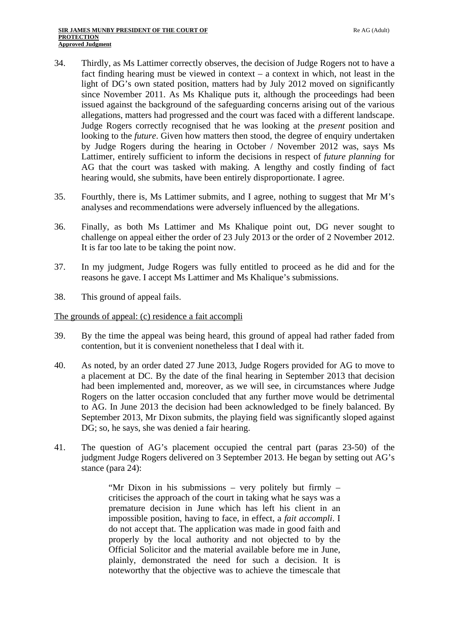- 34. Thirdly, as Ms Lattimer correctly observes, the decision of Judge Rogers not to have a fact finding hearing must be viewed in context – a context in which, not least in the light of DG's own stated position, matters had by July 2012 moved on significantly since November 2011. As Ms Khalique puts it, although the proceedings had been issued against the background of the safeguarding concerns arising out of the various allegations, matters had progressed and the court was faced with a different landscape. Judge Rogers correctly recognised that he was looking at the *present* position and looking to the *future*. Given how matters then stood, the degree of enquiry undertaken by Judge Rogers during the hearing in October / November 2012 was, says Ms Lattimer, entirely sufficient to inform the decisions in respect of *future planning* for AG that the court was tasked with making. A lengthy and costly finding of fact hearing would, she submits, have been entirely disproportionate. I agree.
- 35. Fourthly, there is, Ms Lattimer submits, and I agree, nothing to suggest that Mr M's analyses and recommendations were adversely influenced by the allegations.
- 36. Finally, as both Ms Lattimer and Ms Khalique point out, DG never sought to challenge on appeal either the order of 23 July 2013 or the order of 2 November 2012. It is far too late to be taking the point now.
- 37. In my judgment, Judge Rogers was fully entitled to proceed as he did and for the reasons he gave. I accept Ms Lattimer and Ms Khalique's submissions.
- 38. This ground of appeal fails.

#### The grounds of appeal: (c) residence a fait accompli

- 39. By the time the appeal was being heard, this ground of appeal had rather faded from contention, but it is convenient nonetheless that I deal with it.
- 40. As noted, by an order dated 27 June 2013, Judge Rogers provided for AG to move to a placement at DC. By the date of the final hearing in September 2013 that decision had been implemented and, moreover, as we will see, in circumstances where Judge Rogers on the latter occasion concluded that any further move would be detrimental to AG. In June 2013 the decision had been acknowledged to be finely balanced. By September 2013, Mr Dixon submits, the playing field was significantly sloped against DG; so, he says, she was denied a fair hearing.
- 41. The question of AG's placement occupied the central part (paras 23-50) of the judgment Judge Rogers delivered on 3 September 2013. He began by setting out AG's stance (para 24):

"Mr Dixon in his submissions – very politely but firmly – criticises the approach of the court in taking what he says was a premature decision in June which has left his client in an impossible position, having to face, in effect, a *fait accompli*. I do not accept that. The application was made in good faith and properly by the local authority and not objected to by the Official Solicitor and the material available before me in June, plainly, demonstrated the need for such a decision. It is noteworthy that the objective was to achieve the timescale that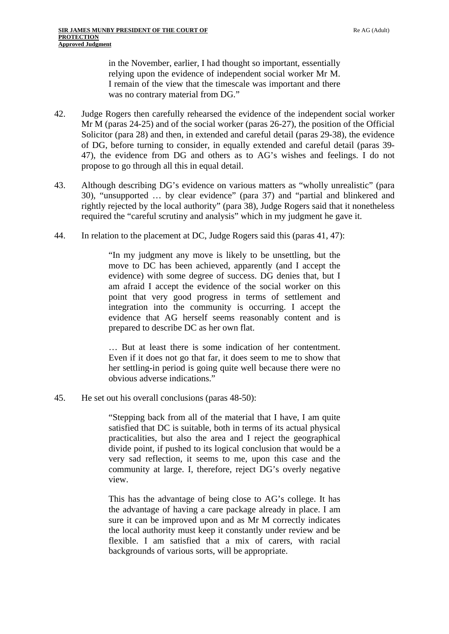in the November, earlier, I had thought so important, essentially relying upon the evidence of independent social worker Mr M. I remain of the view that the timescale was important and there was no contrary material from DG."

- 42. Judge Rogers then carefully rehearsed the evidence of the independent social worker Mr M (paras 24-25) and of the social worker (paras 26-27), the position of the Official Solicitor (para 28) and then, in extended and careful detail (paras 29-38), the evidence of DG, before turning to consider, in equally extended and careful detail (paras 39- 47), the evidence from DG and others as to AG's wishes and feelings. I do not propose to go through all this in equal detail.
- 43. Although describing DG's evidence on various matters as "wholly unrealistic" (para 30), "unsupported … by clear evidence" (para 37) and "partial and blinkered and rightly rejected by the local authority" (para 38), Judge Rogers said that it nonetheless required the "careful scrutiny and analysis" which in my judgment he gave it.
- 44. In relation to the placement at DC, Judge Rogers said this (paras 41, 47):

"In my judgment any move is likely to be unsettling, but the move to DC has been achieved, apparently (and I accept the evidence) with some degree of success. DG denies that, but I am afraid I accept the evidence of the social worker on this point that very good progress in terms of settlement and integration into the community is occurring. I accept the evidence that AG herself seems reasonably content and is prepared to describe DC as her own flat.

… But at least there is some indication of her contentment. Even if it does not go that far, it does seem to me to show that her settling-in period is going quite well because there were no obvious adverse indications."

45. He set out his overall conclusions (paras 48-50):

"Stepping back from all of the material that I have, I am quite satisfied that DC is suitable, both in terms of its actual physical practicalities, but also the area and I reject the geographical divide point, if pushed to its logical conclusion that would be a very sad reflection, it seems to me, upon this case and the community at large. I, therefore, reject DG's overly negative view.

This has the advantage of being close to AG's college. It has the advantage of having a care package already in place. I am sure it can be improved upon and as Mr M correctly indicates the local authority must keep it constantly under review and be flexible. I am satisfied that a mix of carers, with racial backgrounds of various sorts, will be appropriate.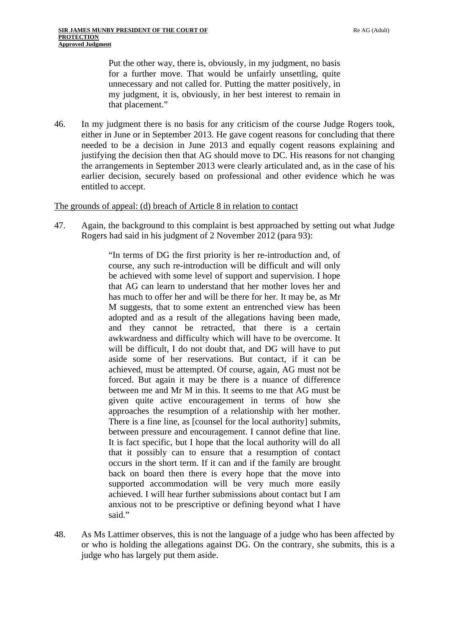Put the other way, there is, obviously, in my judgment, no basis for a further move. That would be unfairly unsettling, quite unnecessary and not called for. Putting the matter positively, in my judgment, it is, obviously, in her best interest to remain in that placement."

46. In my judgment there is no basis for any criticism of the course Judge Rogers took, either in June or in September 2013. He gave cogent reasons for concluding that there needed to be a decision in June 2013 and equally cogent reasons explaining and justifying the decision then that AG should move to DC. His reasons for not changing the arrangements in September 2013 were clearly articulated and, as in the case of his earlier decision, securely based on professional and other evidence which he was entitled to accept.

#### The grounds of appeal: (d) breach of Article 8 in relation to contact

47. Again, the background to this complaint is best approached by setting out what Judge Rogers had said in his judgment of 2 November 2012 (para 93):

> "In terms of DG the first priority is her re-introduction and, of course, any such re-introduction will be difficult and will only be achieved with some level of support and supervision. I hope that AG can learn to understand that her mother loves her and has much to offer her and will be there for her. It may be, as Mr M suggests, that to some extent an entrenched view has been adopted and as a result of the allegations having been made, and they cannot be retracted, that there is a certain awkwardness and difficulty which will have to be overcome. It will be difficult, I do not doubt that, and DG will have to put aside some of her reservations. But contact, if it can be achieved, must be attempted. Of course, again, AG must not be forced. But again it may be there is a nuance of difference between me and Mr M in this. It seems to me that AG must be given quite active encouragement in terms of how she approaches the resumption of a relationship with her mother. There is a fine line, as [counsel for the local authority] submits, between pressure and encouragement. I cannot define that line. It is fact specific, but I hope that the local authority will do all that it possibly can to ensure that a resumption of contact occurs in the short term. If it can and if the family are brought back on board then there is every hope that the move into supported accommodation will be very much more easily achieved. I will hear further submissions about contact but I am anxious not to be prescriptive or defining beyond what I have said."

48. As Ms Lattimer observes, this is not the language of a judge who has been affected by or who is holding the allegations against DG. On the contrary, she submits, this is a judge who has largely put them aside.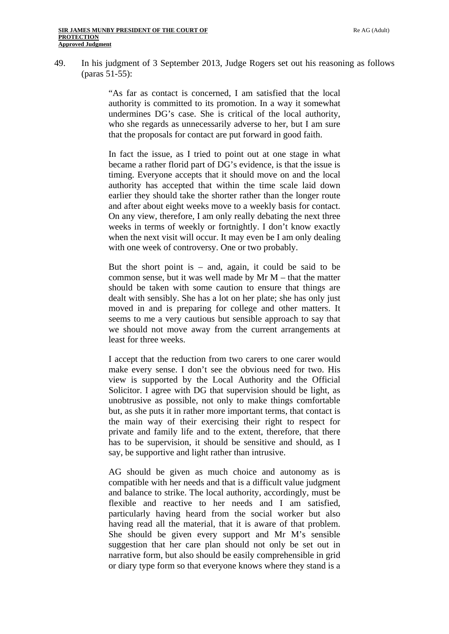49. In his judgment of 3 September 2013, Judge Rogers set out his reasoning as follows (paras 51-55):

> "As far as contact is concerned, I am satisfied that the local authority is committed to its promotion. In a way it somewhat undermines DG's case. She is critical of the local authority, who she regards as unnecessarily adverse to her, but I am sure that the proposals for contact are put forward in good faith.

> In fact the issue, as I tried to point out at one stage in what became a rather florid part of DG's evidence, is that the issue is timing. Everyone accepts that it should move on and the local authority has accepted that within the time scale laid down earlier they should take the shorter rather than the longer route and after about eight weeks move to a weekly basis for contact. On any view, therefore, I am only really debating the next three weeks in terms of weekly or fortnightly. I don't know exactly when the next visit will occur. It may even be I am only dealing with one week of controversy. One or two probably.

> But the short point is  $-$  and, again, it could be said to be common sense, but it was well made by Mr M – that the matter should be taken with some caution to ensure that things are dealt with sensibly. She has a lot on her plate; she has only just moved in and is preparing for college and other matters. It seems to me a very cautious but sensible approach to say that we should not move away from the current arrangements at least for three weeks.

> I accept that the reduction from two carers to one carer would make every sense. I don't see the obvious need for two. His view is supported by the Local Authority and the Official Solicitor. I agree with DG that supervision should be light, as unobtrusive as possible, not only to make things comfortable but, as she puts it in rather more important terms, that contact is the main way of their exercising their right to respect for private and family life and to the extent, therefore, that there has to be supervision, it should be sensitive and should, as I say, be supportive and light rather than intrusive.

> AG should be given as much choice and autonomy as is compatible with her needs and that is a difficult value judgment and balance to strike. The local authority, accordingly, must be flexible and reactive to her needs and I am satisfied, particularly having heard from the social worker but also having read all the material, that it is aware of that problem. She should be given every support and Mr M's sensible suggestion that her care plan should not only be set out in narrative form, but also should be easily comprehensible in grid or diary type form so that everyone knows where they stand is a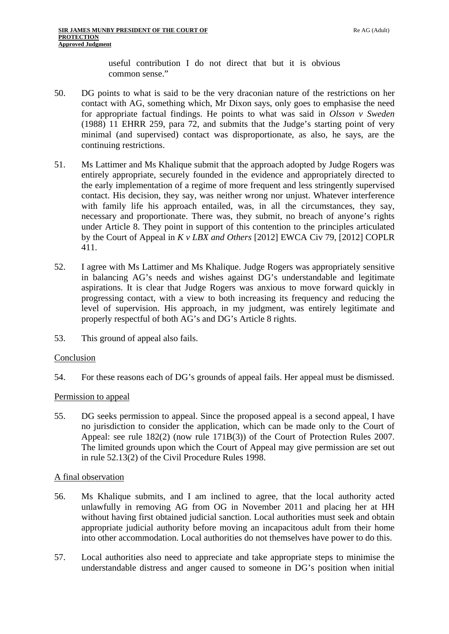useful contribution I do not direct that but it is obvious common sense."

- 50. DG points to what is said to be the very draconian nature of the restrictions on her contact with AG, something which, Mr Dixon says, only goes to emphasise the need for appropriate factual findings. He points to what was said in *Olsson v Sweden*  (1988) 11 EHRR 259, para 72, and submits that the Judge's starting point of very minimal (and supervised) contact was disproportionate, as also, he says, are the continuing restrictions.
- 51. Ms Lattimer and Ms Khalique submit that the approach adopted by Judge Rogers was entirely appropriate, securely founded in the evidence and appropriately directed to the early implementation of a regime of more frequent and less stringently supervised contact. His decision, they say, was neither wrong nor unjust. Whatever interference with family life his approach entailed, was, in all the circumstances, they say, necessary and proportionate. There was, they submit, no breach of anyone's rights under Article 8. They point in support of this contention to the principles articulated by the Court of Appeal in *K v LBX and Others* [2012] EWCA Civ 79, [2012] COPLR 411.
- 52. I agree with Ms Lattimer and Ms Khalique. Judge Rogers was appropriately sensitive in balancing AG's needs and wishes against DG's understandable and legitimate aspirations. It is clear that Judge Rogers was anxious to move forward quickly in progressing contact, with a view to both increasing its frequency and reducing the level of supervision. His approach, in my judgment, was entirely legitimate and properly respectful of both AG's and DG's Article 8 rights.
- 53. This ground of appeal also fails.

## Conclusion

54. For these reasons each of DG's grounds of appeal fails. Her appeal must be dismissed.

#### Permission to appeal

55. DG seeks permission to appeal. Since the proposed appeal is a second appeal, I have no jurisdiction to consider the application, which can be made only to the Court of Appeal: see rule 182(2) (now rule 171B(3)) of the Court of Protection Rules 2007. The limited grounds upon which the Court of Appeal may give permission are set out in rule 52.13(2) of the Civil Procedure Rules 1998.

#### A final observation

- 56. Ms Khalique submits, and I am inclined to agree, that the local authority acted unlawfully in removing AG from OG in November 2011 and placing her at HH without having first obtained judicial sanction. Local authorities must seek and obtain appropriate judicial authority before moving an incapacitous adult from their home into other accommodation. Local authorities do not themselves have power to do this.
- 57. Local authorities also need to appreciate and take appropriate steps to minimise the understandable distress and anger caused to someone in DG's position when initial